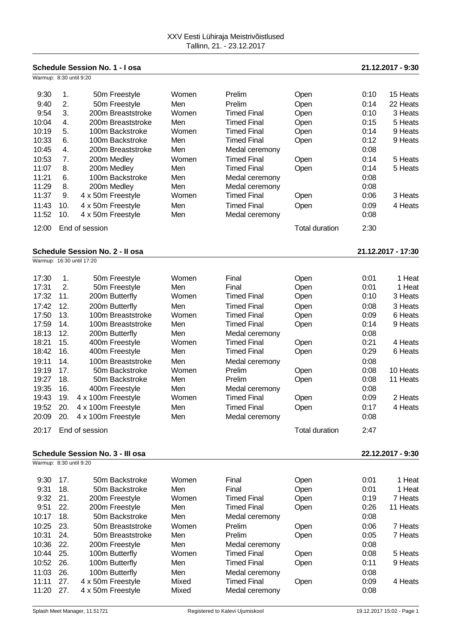| Schedule Session No. 1 - I osa                               |     |                           |       |                                      |                       |      | 21.12.2017 - 9:30 |  |
|--------------------------------------------------------------|-----|---------------------------|-------|--------------------------------------|-----------------------|------|-------------------|--|
| Warmup: 8:30 until 9:20                                      |     |                           |       |                                      |                       |      |                   |  |
| 9:30                                                         | 1.  | 50m Freestyle             | Women | Prelim                               | Open                  | 0:10 | 15 Heats          |  |
| 9:40                                                         | 2.  | 50m Freestyle             | Men   | Prelim                               | Open                  | 0:14 | 22 Heats          |  |
| 9:54                                                         | 3.  | 200m Breaststroke         | Women | <b>Timed Final</b>                   | Open                  | 0:10 | 3 Heats           |  |
| 10:04                                                        | 4.  | 200m Breaststroke         | Men   | <b>Timed Final</b>                   | Open                  | 0:15 | 5 Heats           |  |
| 10:19                                                        | 5.  | 100m Backstroke           | Women | <b>Timed Final</b>                   |                       | 0:14 | 9 Heats           |  |
| 10:33                                                        | 6.  | 100m Backstroke           | Men   | <b>Timed Final</b>                   | Open                  | 0:12 | 9 Heats           |  |
|                                                              |     |                           |       |                                      | Open                  | 0:08 |                   |  |
| 10:45                                                        | 4.  | 200m Breaststroke         | Men   | Medal ceremony                       |                       |      |                   |  |
| 10:53                                                        | 7.  | 200m Medley               | Women | <b>Timed Final</b>                   | Open                  | 0:14 | 5 Heats           |  |
| 11:07                                                        | 8.  | 200m Medley               | Men   | <b>Timed Final</b>                   | Open                  | 0:14 | 5 Heats           |  |
| 11:21                                                        | 6.  | 100m Backstroke           | Men   | Medal ceremony                       |                       | 0:08 |                   |  |
| 11:29                                                        | 8.  | 200m Medley               | Men   | Medal ceremony                       |                       | 0:08 |                   |  |
| 11:37                                                        | 9.  | 4 x 50m Freestyle         | Women | <b>Timed Final</b>                   | Open                  | 0:06 | 3 Heats           |  |
| 11:43                                                        | 10. | 4 x 50m Freestyle         | Men   | <b>Timed Final</b>                   | Open                  | 0:09 | 4 Heats           |  |
| 11:52                                                        | 10. | 4 x 50m Freestyle         | Men   | Medal ceremony                       |                       | 0:08 |                   |  |
| 12:00                                                        |     | End of session            |       |                                      | <b>Total duration</b> | 2:30 |                   |  |
| <b>Schedule Session No. 2 - Il osa</b><br>21.12.2017 - 17:30 |     |                           |       |                                      |                       |      |                   |  |
|                                                              |     | Warmup: 16:30 until 17:20 |       |                                      |                       |      |                   |  |
| 17:30                                                        | 1.  | 50m Freestyle             | Women | Final                                | Open                  | 0:01 | 1 Heat            |  |
| 17:31                                                        | 2.  | 50m Freestyle             | Men   | Final                                | Open                  | 0:01 | 1 Heat            |  |
| 17:32                                                        | 11. | 200m Butterfly            | Women | <b>Timed Final</b>                   | Open                  | 0:10 | 3 Heats           |  |
| 17:42                                                        | 12. | 200m Butterfly            | Men   | <b>Timed Final</b>                   | Open                  | 0:08 | 3 Heats           |  |
| 17:50                                                        | 13. | 100m Breaststroke         | Women | <b>Timed Final</b>                   |                       | 0:09 | 6 Heats           |  |
| 17:59                                                        | 14. | 100m Breaststroke         | Men   | <b>Timed Final</b>                   | Open                  | 0:14 | 9 Heats           |  |
| 18:13                                                        | 12. |                           | Men   |                                      | Open                  | 0:08 |                   |  |
| 18:21                                                        | 15. | 200m Butterfly            | Women | Medal ceremony<br><b>Timed Final</b> |                       | 0:21 | 4 Heats           |  |
| 18:42                                                        | 16. | 400m Freestyle            | Men   | <b>Timed Final</b>                   | Open                  | 0:29 | 6 Heats           |  |
|                                                              |     | 400m Freestyle            |       |                                      | Open                  |      |                   |  |
| 19:11                                                        | 14. | 100m Breaststroke         | Men   | Medal ceremony                       |                       | 0:08 |                   |  |
| 19:19                                                        | 17. | 50m Backstroke            | Women | Prelim                               | Open                  | 0:08 | 10 Heats          |  |
| 19:27                                                        | 18. | 50m Backstroke            | Men   | Prelim                               | Open                  | 0:08 | 11 Heats          |  |
| 19:35                                                        | 16. | 400m Freestyle            | Men   | Medal ceremony                       |                       | 0:08 |                   |  |
| 19:43                                                        | 19. | 4 x 100m Freestyle        | Women | <b>Timed Final</b>                   | Open                  | 0:09 | 2 Heats           |  |
| 19:52                                                        | 20. | 4 x 100m Freestyle        | Men   | <b>Timed Final</b>                   | Open                  | 0:17 | 4 Heats           |  |
| 20:09                                                        | 20. | 4 x 100m Freestyle        | Men   | Medal ceremony                       |                       | 0:08 |                   |  |
| 20:17                                                        |     | End of session            |       |                                      | <b>Total duration</b> | 2:47 |                   |  |
| <b>Schedule Session No. 3 - III osa</b><br>22.12.2017 - 9:30 |     |                           |       |                                      |                       |      |                   |  |
| Warmup: 8:30 until 9:20                                      |     |                           |       |                                      |                       |      |                   |  |
| 9:30                                                         | 17. | 50m Backstroke            | Women | Final                                | Open                  | 0:01 | 1 Heat            |  |
| 9:31                                                         | 18. | 50m Backstroke            | Men   | Final                                | Open                  | 0:01 | 1 Heat            |  |
| 9:32                                                         | 21. | 200m Freestyle            | Women | <b>Timed Final</b>                   | Open                  | 0:19 | 7 Heats           |  |
| 9:51                                                         | 22. | 200m Freestyle            | Men   | <b>Timed Final</b>                   | Open                  | 0:26 | 11 Heats          |  |
| 10:17                                                        | 18. | 50m Backstroke            | Men   | Medal ceremony                       |                       | 0:08 |                   |  |
| 10:25                                                        | 23. | 50m Breaststroke          | Women | Prelim                               | Open                  | 0:06 | 7 Heats           |  |
| 10:31                                                        | 24. | 50m Breaststroke          | Men   | Prelim                               | Open                  | 0:05 | 7 Heats           |  |
| 10:36                                                        | 22. | 200m Freestyle            | Men   | Medal ceremony                       |                       | 0:08 |                   |  |
| 10:44                                                        | 25. | 100m Butterfly            | Women | <b>Timed Final</b>                   | Open                  | 0:08 | 5 Heats           |  |
| 10:52                                                        | 26. | 100m Butterfly            | Men   | <b>Timed Final</b>                   | Open                  | 0:11 | 9 Heats           |  |
| 11:03                                                        | 26. | 100m Butterfly            | Men   | Medal ceremony                       |                       | 0:08 |                   |  |
| 11:11                                                        | 27. | 4 x 50m Freestyle         | Mixed | <b>Timed Final</b>                   | Open                  | 0:09 | 4 Heats           |  |
| 11:20                                                        | 27. | 4 x 50m Freestyle         | Mixed | Medal ceremony                       |                       | 0:08 |                   |  |
|                                                              |     |                           |       |                                      |                       |      |                   |  |